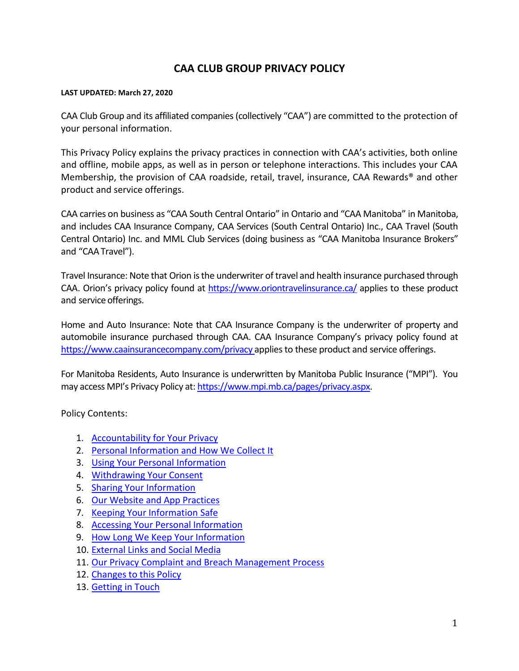### **CAA CLUB GROUP PRIVACY POLICY**

#### **LAST UPDATED: March 27, 2020**

CAA Club Group and its affiliated companies (collectively "CAA") are committed to the protection of your personal information.

This Privacy Policy explains the privacy practices in connection with CAA's activities, both online and offline, mobile apps, as well as in person or telephone interactions. This includes your CAA Membership, the provision of CAA roadside, retail, travel, insurance, CAA Rewards® and other product and service offerings.

CAA carries on business as "CAA South Central Ontario" in Ontario and "CAA Manitoba" in Manitoba, and includes CAA Insurance Company, CAA Services (South Central Ontario) Inc., CAA Travel (South Central Ontario) Inc. and MML Club Services (doing business as "CAA Manitoba Insurance Brokers" and "CAATravel").

Travel Insurance: Note that Orion is the underwriter of travel and health insurance purchased through CAA. Orion's privacy policy found at<https://www.oriontravelinsurance.ca/> applies to these product and service offerings.

Home and Auto Insurance: Note that CAA Insurance Company is the underwriter of property and automobile insurance purchased through CAA. CAA Insurance Company's privacy policy found at <https://www.caainsurancecompany.com/privacy> applies to these product and service offerings.

For Manitoba Residents, Auto Insurance is underwritten by Manitoba Public Insurance ("MPI"). You may access MPI's Privacy Policy at: [https://www.mpi.mb.ca/pages/privacy.aspx.](https://www.mpi.mb.ca/pages/privacy.aspx)

Policy Contents:

- 1. [Accountability for Your](#page-1-0) Privacy
- 2. [Personal Information and How We Collect](#page-1-1) It
- 3. [Using Your Personal](#page-2-0) Information
- 4. [Withdrawing Your](#page-3-0) Consent
- 5. [Sharing Your](#page-3-1) Information
- 6. [Our Website and App Practices](#page-5-0)
- 7. [Keeping Your Information](#page-5-1) Safe
- 8. [Accessing Your Personal](#page-6-0) Information
- 9. [How Long We Keep Your](#page-6-1) Information
- 10. [External Links and Social](#page-6-2) Media
- 11. [Our Privacy Complaint and Breach Management](#page-7-0) Process
- 12. [Changes to this](#page-7-1) Policy
- 13. [Getting in](#page-7-2) Touch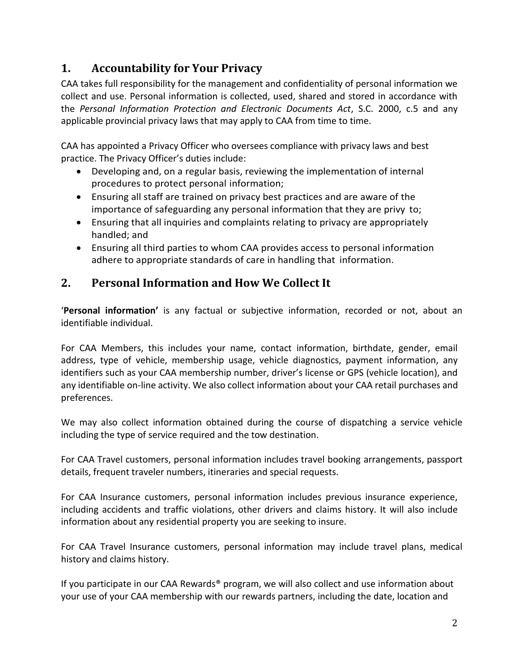## <span id="page-1-0"></span>**1. Accountability for Your Privacy**

CAA takes full responsibility for the management and confidentiality of personal information we collect and use. Personal information is collected, used, shared and stored in accordance with the *Personal Information Protection and Electronic Documents Act*, S.C. 2000, c.5 and any applicable provincial privacy laws that may apply to CAA from time to time.

CAA has appointed a Privacy Officer who oversees compliance with privacy laws and best practice. The Privacy Officer's duties include:

- Developing and, on a regular basis, reviewing the implementation of internal procedures to protect personal information;
- Ensuring all staff are trained on privacy best practices and are aware of the importance of safeguarding any personal information that they are privy to;
- Ensuring that all inquiries and complaints relating to privacy are appropriately handled; and
- Ensuring all third parties to whom CAA provides access to personal information adhere to appropriate standards of care in handling that information.

## <span id="page-1-1"></span>**2. Personal Information and How We Collect It**

'**Personal information'** is any factual or subjective information, recorded or not, about an identifiable individual.

For CAA Members, this includes your name, contact information, birthdate, gender, email address, type of vehicle, membership usage, vehicle diagnostics, payment information, any identifiers such as your CAA membership number, driver's license or GPS (vehicle location), and any identifiable on-line activity. We also collect information about your CAA retail purchases and preferences.

We may also collect information obtained during the course of dispatching a service vehicle including the type of service required and the tow destination.

For CAA Travel customers, personal information includes travel booking arrangements, passport details, frequent traveler numbers, itineraries and special requests.

For CAA Insurance customers, personal information includes previous insurance experience, including accidents and traffic violations, other drivers and claims history. It will also include information about any residential property you are seeking to insure.

For CAA Travel Insurance customers, personal information may include travel plans, medical history and claims history.

If you participate in our CAA Rewards® program, we will also collect and use information about your use of your CAA membership with our rewards partners, including the date, location and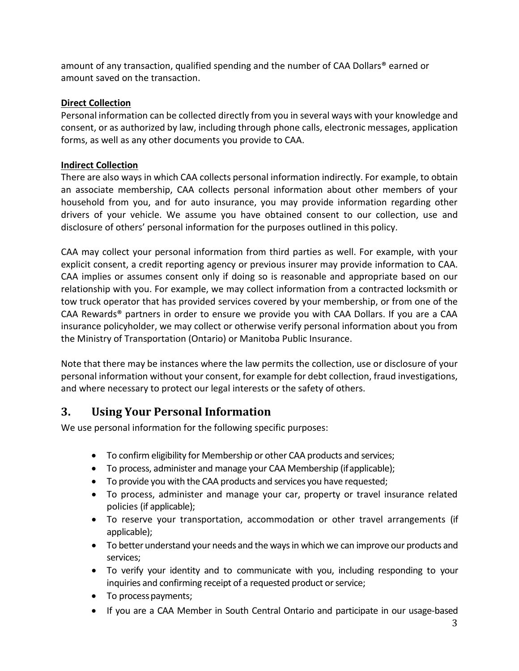amount of any transaction, qualified spending and the number of CAA Dollars® earned or amount saved on the transaction.

### **Direct Collection**

Personal information can be collected directly from you in several ways with your knowledge and consent, or as authorized by law, including through phone calls, electronic messages, application forms, as well as any other documents you provide to CAA.

### **Indirect Collection**

There are also ways in which CAA collects personal information indirectly. For example, to obtain an associate membership, CAA collects personal information about other members of your household from you, and for auto insurance, you may provide information regarding other drivers of your vehicle. We assume you have obtained consent to our collection, use and disclosure of others' personal information for the purposes outlined in this policy.

CAA may collect your personal information from third parties as well. For example, with your explicit consent, a credit reporting agency or previous insurer may provide information to CAA. CAA implies or assumes consent only if doing so is reasonable and appropriate based on our relationship with you. For example, we may collect information from a contracted locksmith or tow truck operator that has provided services covered by your membership, or from one of the CAA Rewards® partners in order to ensure we provide you with CAA Dollars. If you are a CAA insurance policyholder, we may collect or otherwise verify personal information about you from the Ministry of Transportation (Ontario) or Manitoba Public Insurance.

Note that there may be instances where the law permits the collection, use or disclosure of your personal information without your consent, for example for debt collection, fraud investigations, and where necessary to protect our legal interests or the safety of others.

## <span id="page-2-0"></span>**3. Using Your Personal Information**

We use personal information for the following specific purposes:

- To confirm eligibility for Membership or other CAA products and services;
- To process, administer and manage your CAA Membership (ifapplicable);
- To provide you with the CAA products and services you have requested;
- To process, administer and manage your car, property or travel insurance related policies (if applicable);
- To reserve your transportation, accommodation or other travel arrangements (if applicable);
- To better understand your needs and the ways in which we can improve our products and services;
- To verify your identity and to communicate with you, including responding to your inquiries and confirming receipt of a requested product or service;
- To process payments;
- If you are a CAA Member in South Central Ontario and participate in our usage-based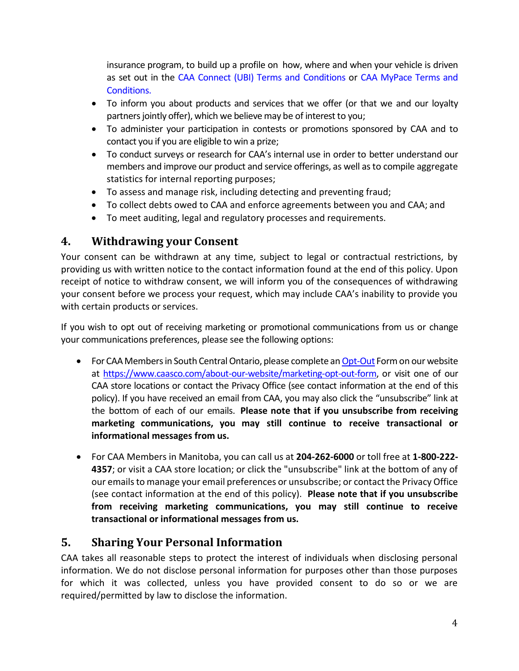insurance program, to build up a profile on how, where and when your vehicle is driven as set out in the [CAA Connect \(UBI\) Terms and](https://www.caasco.com/insurance/auto/caa-connect) [Conditions o](https://www.caasco.com/insurance/auto/caa-connect)r [CAA MyPace Terms and](https://www.caasco.com/insurance/auto/caa-mypace)  [Conditions.](https://www.caasco.com/insurance/auto/caa-mypace)

- To inform you about products and services that we offer (or that we and our loyalty partners jointly offer), which we believe may be of interest to you;
- To administer your participation in contests or promotions sponsored by CAA and to contact you if you are eligible to win a prize;
- To conduct surveys or research for CAA's internal use in order to better understand our members and improve our product and service offerings, as well asto compile aggregate statistics for internal reporting purposes;
- To assess and manage risk, including detecting and preventing fraud;
- To collect debts owed to CAA and enforce agreements between you and CAA; and
- To meet auditing, legal and regulatory processes and requirements.

## <span id="page-3-0"></span>**4. Withdrawing your Consent**

Your consent can be withdrawn at any time, subject to legal or contractual restrictions, by providing us with written notice to the contact information found at the end of this policy. Upon receipt of notice to withdraw consent, we will inform you of the consequences of withdrawing your consent before we process your request, which may include CAA's inability to provide you with certain products or services.

If you wish to opt out of receiving marketing or promotional communications from us or change your communications preferences, please see the following options:

- For CAA Members in South Central Ontario, please complete a[n Opt-Out](https://www.caasco.com/about-our-website/marketing-opt-out-form) Form on our website at [https://www.caasco.com/about-our-website/marketing-opt-out-form,](https://www.caasco.com/about-our-website/marketing-opt-out-form) or visit one of our CAA store locations or contact the Privacy Office (see contact information at the end of this policy). If you have received an email from CAA, you may also click the "unsubscribe" link at the bottom of each of our emails. **Please note that if you unsubscribe from receiving marketing communications, you may still continue to receive transactional or informational messages from us.**
- For CAA Members in Manitoba, you can call us at **204-262-6000** or toll free at **1-800-222- 4357**; or visit a CAA store location; or click the "unsubscribe" link at the bottom of any of our emails to manage your email preferences or unsubscribe; or contact the Privacy Office (see contact information at the end of this policy). **Please note that if you unsubscribe from receiving marketing communications, you may still continue to receive transactional or informational messages from us.**

## <span id="page-3-1"></span>**5. Sharing Your Personal Information**

CAA takes all reasonable steps to protect the interest of individuals when disclosing personal information. We do not disclose personal information for purposes other than those purposes for which it was collected, unless you have provided consent to do so or we are required/permitted by law to disclose the information.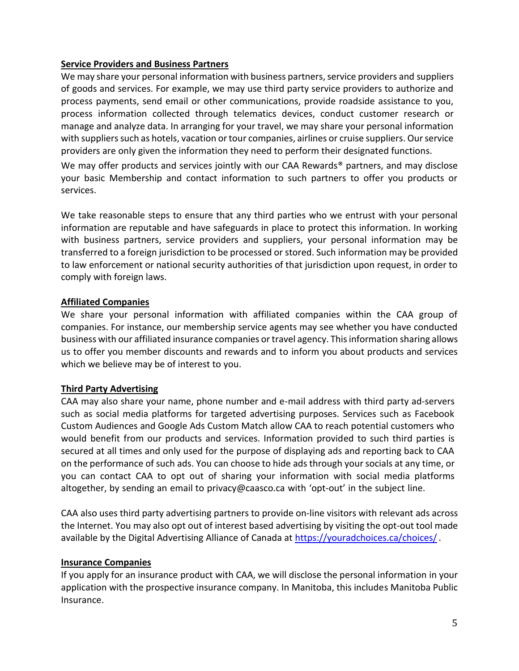#### **Service Providers and Business Partners**

We may share your personal information with business partners, service providers and suppliers of goods and services. For example, we may use third party service providers to authorize and process payments, send email or other communications, provide roadside assistance to you, process information collected through telematics devices, conduct customer research or manage and analyze data. In arranging for your travel, we may share your personal information with suppliers such as hotels, vacation or tour companies, airlines or cruise suppliers. Our service providers are only given the information they need to perform their designated functions. We may offer products and services jointly with our CAA Rewards<sup>®</sup> partners, and may disclose your basic Membership and contact information to such partners to offer you products or services.

We take reasonable steps to ensure that any third parties who we entrust with your personal information are reputable and have safeguards in place to protect this information. In working with business partners, service providers and suppliers, your personal information may be transferred to a foreign jurisdiction to be processed or stored. Such information may be provided to law enforcement or national security authorities of that jurisdiction upon request, in order to comply with foreign laws.

#### **Affiliated Companies**

We share your personal information with affiliated companies within the CAA group of companies. For instance, our membership service agents may see whether you have conducted business with our affiliated insurance companies or travel agency. This information sharing allows us to offer you member discounts and rewards and to inform you about products and services which we believe may be of interest to you.

#### **Third Party Advertising**

CAA may also share your name, phone number and e-mail address with third party ad-servers such as social media platforms for targeted advertising purposes. Services such as Facebook Custom Audiences and Google Ads Custom Match allow CAA to reach potential customers who would benefit from our products and services. Information provided to such third parties is secured at all times and only used for the purpose of displaying ads and reporting back to CAA on the performance of such ads. You can choose to hide ads through yoursocials at any time, or you can contact CAA to opt out of sharing your information with social media platforms altogether, by sending an email to [privacy@caasco.ca](mailto:privacy@caasco.ca) with 'opt-out' in the subject line.

CAA also uses third party advertising partners to provide on-line visitors with relevant ads across the Internet. You may also opt out of interest based advertising by visiting the opt-out tool made available by the Digital Advertising Alliance of Canada at [https://youradchoices.ca/choices/.](https://youradchoices.ca/choices/)

#### **Insurance Companies**

If you apply for an insurance product with CAA, we will disclose the personal information in your application with the prospective insurance company. In Manitoba, this includes Manitoba Public Insurance.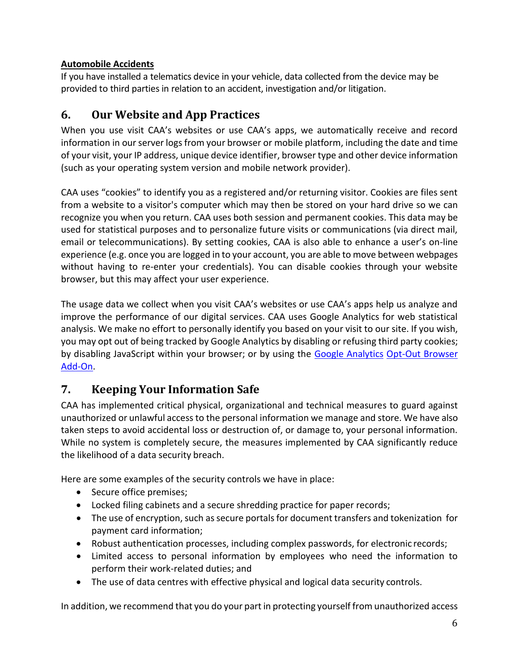### **Automobile Accidents**

If you have installed a telematics device in your vehicle, data collected from the device may be provided to third parties in relation to an accident, investigation and/or litigation.

## <span id="page-5-0"></span>**6. Our Website and App Practices**

When you use visit CAA's websites or use CAA's apps, we automatically receive and record information in our server logs from your browser or mobile platform, including the date and time of your visit, your IP address, unique device identifier, browser type and other device information (such as your operating system version and mobile network provider).

CAA uses "cookies" to identify you as a registered and/or returning visitor. Cookies are files sent from a website to a visitor's computer which may then be stored on your hard drive so we can recognize you when you return. CAA uses both session and permanent cookies. This data may be used for statistical purposes and to personalize future visits or communications (via direct mail, email or telecommunications). By setting cookies, CAA is also able to enhance a user's on-line experience (e.g. once you are logged in to your account, you are able to move between webpages without having to re-enter your credentials). You can disable cookies through your website browser, but this may affect your user experience.

The usage data we collect when you visit CAA's websites or use CAA's apps help us analyze and improve the performance of our digital services. CAA uses Google Analytics for web statistical analysis. We make no effort to personally identify you based on your visit to our site. If you wish, you may opt out of being tracked by Google Analytics by disabling or refusing third party cookies; by disabling JavaScript within your browser; or by using the [Google Analytics](https://tools.google.com/dlpage/gaoptout?hl=en) [Opt-Out Browser](https://tools.google.com/dlpage/gaoptout?hl=en) [Add-On.](https://tools.google.com/dlpage/gaoptout?hl=en)

## <span id="page-5-1"></span>**7. Keeping Your Information Safe**

CAA has implemented critical physical, organizational and technical measures to guard against unauthorized or unlawful accessto the personal information we manage and store. We have also taken steps to avoid accidental loss or destruction of, or damage to, your personal information. While no system is completely secure, the measures implemented by CAA significantly reduce the likelihood of a data security breach.

Here are some examples of the security controls we have in place:

- Secure office premises;
- Locked filing cabinets and a secure shredding practice for paper records;
- The use of encryption, such as secure portals for document transfers and tokenization for payment card information;
- Robust authentication processes, including complex passwords, for electronic records;
- Limited access to personal information by employees who need the information to perform their work-related duties; and
- The use of data centres with effective physical and logical data security controls.

In addition, we recommend that you do your part in protecting yourself from unauthorized access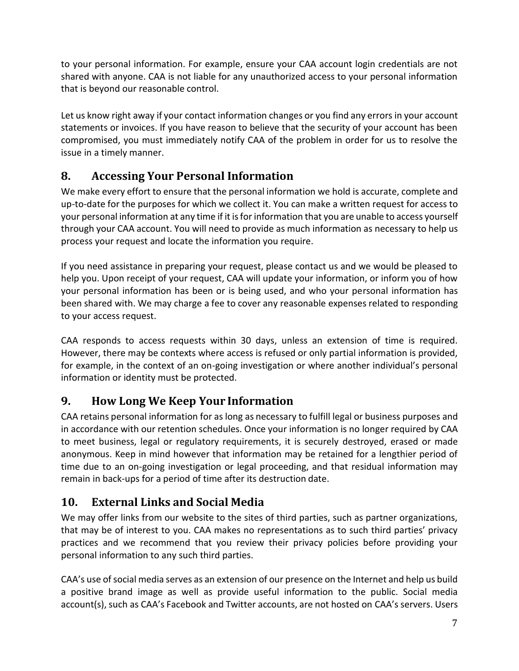to your personal information. For example, ensure your CAA account login credentials are not shared with anyone. CAA is not liable for any unauthorized access to your personal information that is beyond our reasonable control.

Let us know right away if your contact information changes or you find any errors in your account statements or invoices. If you have reason to believe that the security of your account has been compromised, you must immediately notify CAA of the problem in order for us to resolve the issue in a timely manner.

# <span id="page-6-0"></span>**8. Accessing Your Personal Information**

We make every effort to ensure that the personal information we hold is accurate, complete and up-to-date for the purposes for which we collect it. You can make a written request for access to your personal information at any time if it isfor information that you are unable to access yourself through your CAA account. You will need to provide as much information as necessary to help us process your request and locate the information you require.

If you need assistance in preparing your request, please contact us and we would be pleased to help you. Upon receipt of your request, CAA will update your information, or inform you of how your personal information has been or is being used, and who your personal information has been shared with. We may charge a fee to cover any reasonable expenses related to responding to your access request.

CAA responds to access requests within 30 days, unless an extension of time is required. However, there may be contexts where access is refused or only partial information is provided, for example, in the context of an on-going investigation or where another individual's personal information or identity must be protected.

# <span id="page-6-1"></span>**9. How Long We Keep Your Information**

CAA retains personal information for as long as necessary to fulfill legal or business purposes and in accordance with our retention schedules. Once your information is no longer required by CAA to meet business, legal or regulatory requirements, it is securely destroyed, erased or made anonymous. Keep in mind however that information may be retained for a lengthier period of time due to an on-going investigation or legal proceeding, and that residual information may remain in back-ups for a period of time after its destruction date.

## <span id="page-6-2"></span>**10. External Links and Social Media**

We may offer links from our website to the sites of third parties, such as partner organizations, that may be of interest to you. CAA makes no representations as to such third parties' privacy practices and we recommend that you review their privacy policies before providing your personal information to any such third parties.

CAA's use of social media serves as an extension of our presence on the Internet and help us build a positive brand image as well as provide useful information to the public. Social media account(s), such as CAA's Facebook and Twitter accounts, are not hosted on CAA's servers. Users